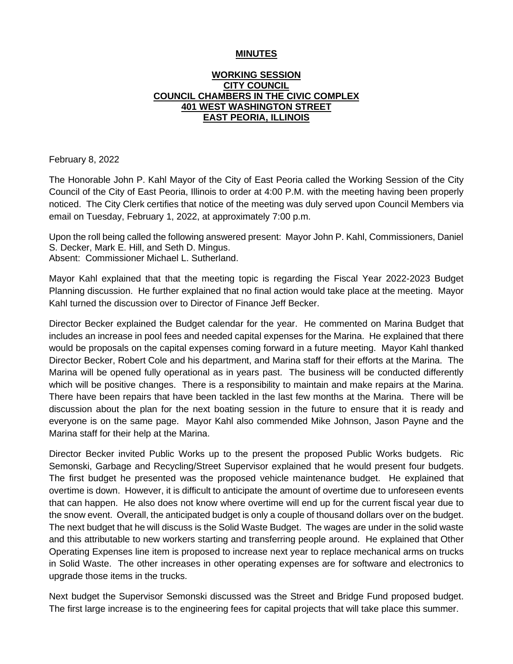#### **MINUTES**

#### **WORKING SESSION CITY COUNCIL COUNCIL CHAMBERS IN THE CIVIC COMPLEX 401 WEST WASHINGTON STREET EAST PEORIA, ILLINOIS**

February 8, 2022

The Honorable John P. Kahl Mayor of the City of East Peoria called the Working Session of the City Council of the City of East Peoria, Illinois to order at 4:00 P.M. with the meeting having been properly noticed. The City Clerk certifies that notice of the meeting was duly served upon Council Members via email on Tuesday, February 1, 2022, at approximately 7:00 p.m.

Upon the roll being called the following answered present: Mayor John P. Kahl, Commissioners, Daniel S. Decker, Mark E. Hill, and Seth D. Mingus. Absent: Commissioner Michael L. Sutherland.

Mayor Kahl explained that that the meeting topic is regarding the Fiscal Year 2022-2023 Budget Planning discussion. He further explained that no final action would take place at the meeting. Mayor Kahl turned the discussion over to Director of Finance Jeff Becker.

Director Becker explained the Budget calendar for the year. He commented on Marina Budget that includes an increase in pool fees and needed capital expenses for the Marina. He explained that there would be proposals on the capital expenses coming forward in a future meeting. Mayor Kahl thanked Director Becker, Robert Cole and his department, and Marina staff for their efforts at the Marina. The Marina will be opened fully operational as in years past. The business will be conducted differently which will be positive changes. There is a responsibility to maintain and make repairs at the Marina. There have been repairs that have been tackled in the last few months at the Marina. There will be discussion about the plan for the next boating session in the future to ensure that it is ready and everyone is on the same page. Mayor Kahl also commended Mike Johnson, Jason Payne and the Marina staff for their help at the Marina.

Director Becker invited Public Works up to the present the proposed Public Works budgets. Ric Semonski, Garbage and Recycling/Street Supervisor explained that he would present four budgets. The first budget he presented was the proposed vehicle maintenance budget. He explained that overtime is down. However, it is difficult to anticipate the amount of overtime due to unforeseen events that can happen. He also does not know where overtime will end up for the current fiscal year due to the snow event. Overall, the anticipated budget is only a couple of thousand dollars over on the budget. The next budget that he will discuss is the Solid Waste Budget. The wages are under in the solid waste and this attributable to new workers starting and transferring people around. He explained that Other Operating Expenses line item is proposed to increase next year to replace mechanical arms on trucks in Solid Waste. The other increases in other operating expenses are for software and electronics to upgrade those items in the trucks.

Next budget the Supervisor Semonski discussed was the Street and Bridge Fund proposed budget. The first large increase is to the engineering fees for capital projects that will take place this summer.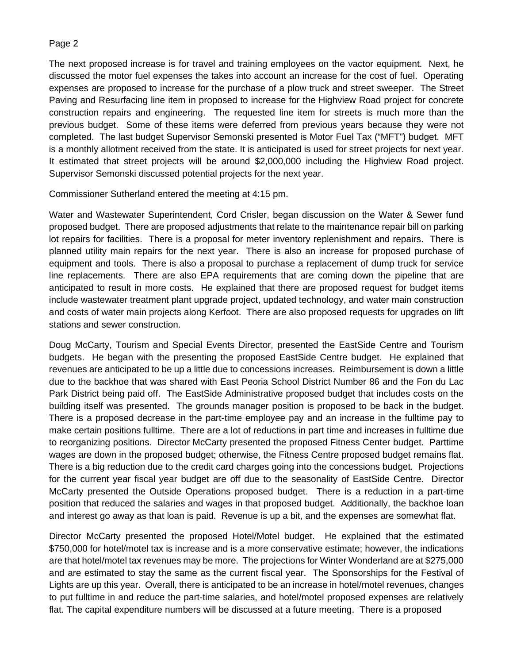The next proposed increase is for travel and training employees on the vactor equipment. Next, he discussed the motor fuel expenses the takes into account an increase for the cost of fuel. Operating expenses are proposed to increase for the purchase of a plow truck and street sweeper. The Street Paving and Resurfacing line item in proposed to increase for the Highview Road project for concrete construction repairs and engineering. The requested line item for streets is much more than the previous budget. Some of these items were deferred from previous years because they were not completed. The last budget Supervisor Semonski presented is Motor Fuel Tax ("MFT") budget. MFT is a monthly allotment received from the state. It is anticipated is used for street projects for next year. It estimated that street projects will be around \$2,000,000 including the Highview Road project. Supervisor Semonski discussed potential projects for the next year.

Commissioner Sutherland entered the meeting at 4:15 pm.

Water and Wastewater Superintendent, Cord Crisler, began discussion on the Water & Sewer fund proposed budget. There are proposed adjustments that relate to the maintenance repair bill on parking lot repairs for facilities. There is a proposal for meter inventory replenishment and repairs. There is planned utility main repairs for the next year. There is also an increase for proposed purchase of equipment and tools. There is also a proposal to purchase a replacement of dump truck for service line replacements. There are also EPA requirements that are coming down the pipeline that are anticipated to result in more costs. He explained that there are proposed request for budget items include wastewater treatment plant upgrade project, updated technology, and water main construction and costs of water main projects along Kerfoot. There are also proposed requests for upgrades on lift stations and sewer construction.

Doug McCarty, Tourism and Special Events Director, presented the EastSide Centre and Tourism budgets. He began with the presenting the proposed EastSide Centre budget. He explained that revenues are anticipated to be up a little due to concessions increases. Reimbursement is down a little due to the backhoe that was shared with East Peoria School District Number 86 and the Fon du Lac Park District being paid off. The EastSide Administrative proposed budget that includes costs on the building itself was presented. The grounds manager position is proposed to be back in the budget. There is a proposed decrease in the part-time employee pay and an increase in the fulltime pay to make certain positions fulltime. There are a lot of reductions in part time and increases in fulltime due to reorganizing positions. Director McCarty presented the proposed Fitness Center budget. Parttime wages are down in the proposed budget; otherwise, the Fitness Centre proposed budget remains flat. There is a big reduction due to the credit card charges going into the concessions budget. Projections for the current year fiscal year budget are off due to the seasonality of EastSide Centre. Director McCarty presented the Outside Operations proposed budget. There is a reduction in a part-time position that reduced the salaries and wages in that proposed budget. Additionally, the backhoe loan and interest go away as that loan is paid. Revenue is up a bit, and the expenses are somewhat flat.

Director McCarty presented the proposed Hotel/Motel budget. He explained that the estimated \$750,000 for hotel/motel tax is increase and is a more conservative estimate; however, the indications are that hotel/motel tax revenues may be more. The projections for Winter Wonderland are at \$275,000 and are estimated to stay the same as the current fiscal year. The Sponsorships for the Festival of Lights are up this year. Overall, there is anticipated to be an increase in hotel/motel revenues, changes to put fulltime in and reduce the part-time salaries, and hotel/motel proposed expenses are relatively flat. The capital expenditure numbers will be discussed at a future meeting. There is a proposed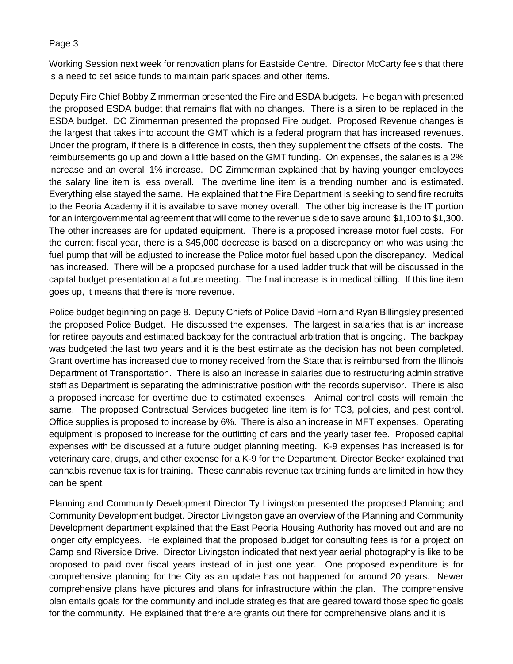Working Session next week for renovation plans for Eastside Centre. Director McCarty feels that there is a need to set aside funds to maintain park spaces and other items.

Deputy Fire Chief Bobby Zimmerman presented the Fire and ESDA budgets. He began with presented the proposed ESDA budget that remains flat with no changes. There is a siren to be replaced in the ESDA budget. DC Zimmerman presented the proposed Fire budget. Proposed Revenue changes is the largest that takes into account the GMT which is a federal program that has increased revenues. Under the program, if there is a difference in costs, then they supplement the offsets of the costs. The reimbursements go up and down a little based on the GMT funding. On expenses, the salaries is a 2% increase and an overall 1% increase. DC Zimmerman explained that by having younger employees the salary line item is less overall. The overtime line item is a trending number and is estimated. Everything else stayed the same. He explained that the Fire Department is seeking to send fire recruits to the Peoria Academy if it is available to save money overall. The other big increase is the IT portion for an intergovernmental agreement that will come to the revenue side to save around \$1,100 to \$1,300. The other increases are for updated equipment. There is a proposed increase motor fuel costs. For the current fiscal year, there is a \$45,000 decrease is based on a discrepancy on who was using the fuel pump that will be adjusted to increase the Police motor fuel based upon the discrepancy. Medical has increased. There will be a proposed purchase for a used ladder truck that will be discussed in the capital budget presentation at a future meeting. The final increase is in medical billing. If this line item goes up, it means that there is more revenue.

Police budget beginning on page 8. Deputy Chiefs of Police David Horn and Ryan Billingsley presented the proposed Police Budget. He discussed the expenses. The largest in salaries that is an increase for retiree payouts and estimated backpay for the contractual arbitration that is ongoing. The backpay was budgeted the last two years and it is the best estimate as the decision has not been completed. Grant overtime has increased due to money received from the State that is reimbursed from the Illinois Department of Transportation. There is also an increase in salaries due to restructuring administrative staff as Department is separating the administrative position with the records supervisor. There is also a proposed increase for overtime due to estimated expenses. Animal control costs will remain the same. The proposed Contractual Services budgeted line item is for TC3, policies, and pest control. Office supplies is proposed to increase by 6%. There is also an increase in MFT expenses. Operating equipment is proposed to increase for the outfitting of cars and the yearly taser fee. Proposed capital expenses with be discussed at a future budget planning meeting. K-9 expenses has increased is for veterinary care, drugs, and other expense for a K-9 for the Department. Director Becker explained that cannabis revenue tax is for training. These cannabis revenue tax training funds are limited in how they can be spent.

Planning and Community Development Director Ty Livingston presented the proposed Planning and Community Development budget. Director Livingston gave an overview of the Planning and Community Development department explained that the East Peoria Housing Authority has moved out and are no longer city employees. He explained that the proposed budget for consulting fees is for a project on Camp and Riverside Drive. Director Livingston indicated that next year aerial photography is like to be proposed to paid over fiscal years instead of in just one year. One proposed expenditure is for comprehensive planning for the City as an update has not happened for around 20 years. Newer comprehensive plans have pictures and plans for infrastructure within the plan. The comprehensive plan entails goals for the community and include strategies that are geared toward those specific goals for the community. He explained that there are grants out there for comprehensive plans and it is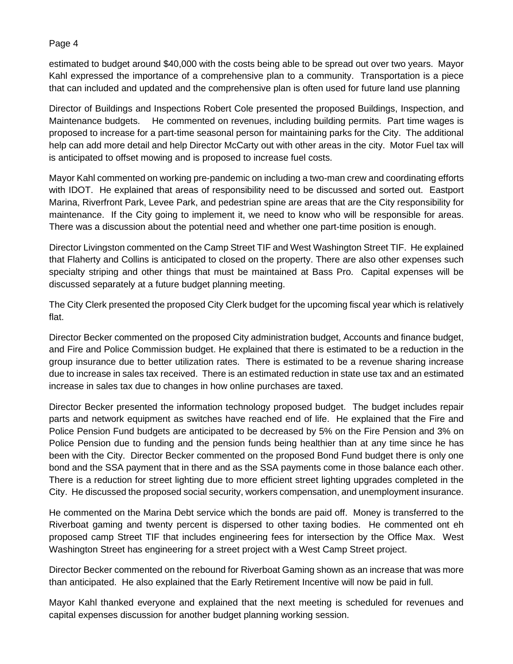estimated to budget around \$40,000 with the costs being able to be spread out over two years. Mayor Kahl expressed the importance of a comprehensive plan to a community. Transportation is a piece that can included and updated and the comprehensive plan is often used for future land use planning

Director of Buildings and Inspections Robert Cole presented the proposed Buildings, Inspection, and Maintenance budgets. He commented on revenues, including building permits. Part time wages is proposed to increase for a part-time seasonal person for maintaining parks for the City. The additional help can add more detail and help Director McCarty out with other areas in the city. Motor Fuel tax will is anticipated to offset mowing and is proposed to increase fuel costs.

Mayor Kahl commented on working pre-pandemic on including a two-man crew and coordinating efforts with IDOT. He explained that areas of responsibility need to be discussed and sorted out. Eastport Marina, Riverfront Park, Levee Park, and pedestrian spine are areas that are the City responsibility for maintenance. If the City going to implement it, we need to know who will be responsible for areas. There was a discussion about the potential need and whether one part-time position is enough.

Director Livingston commented on the Camp Street TIF and West Washington Street TIF. He explained that Flaherty and Collins is anticipated to closed on the property. There are also other expenses such specialty striping and other things that must be maintained at Bass Pro. Capital expenses will be discussed separately at a future budget planning meeting.

The City Clerk presented the proposed City Clerk budget for the upcoming fiscal year which is relatively flat.

Director Becker commented on the proposed City administration budget, Accounts and finance budget, and Fire and Police Commission budget. He explained that there is estimated to be a reduction in the group insurance due to better utilization rates. There is estimated to be a revenue sharing increase due to increase in sales tax received. There is an estimated reduction in state use tax and an estimated increase in sales tax due to changes in how online purchases are taxed.

Director Becker presented the information technology proposed budget. The budget includes repair parts and network equipment as switches have reached end of life. He explained that the Fire and Police Pension Fund budgets are anticipated to be decreased by 5% on the Fire Pension and 3% on Police Pension due to funding and the pension funds being healthier than at any time since he has been with the City. Director Becker commented on the proposed Bond Fund budget there is only one bond and the SSA payment that in there and as the SSA payments come in those balance each other. There is a reduction for street lighting due to more efficient street lighting upgrades completed in the City. He discussed the proposed social security, workers compensation, and unemployment insurance.

He commented on the Marina Debt service which the bonds are paid off. Money is transferred to the Riverboat gaming and twenty percent is dispersed to other taxing bodies. He commented ont eh proposed camp Street TIF that includes engineering fees for intersection by the Office Max. West Washington Street has engineering for a street project with a West Camp Street project.

Director Becker commented on the rebound for Riverboat Gaming shown as an increase that was more than anticipated. He also explained that the Early Retirement Incentive will now be paid in full.

Mayor Kahl thanked everyone and explained that the next meeting is scheduled for revenues and capital expenses discussion for another budget planning working session.